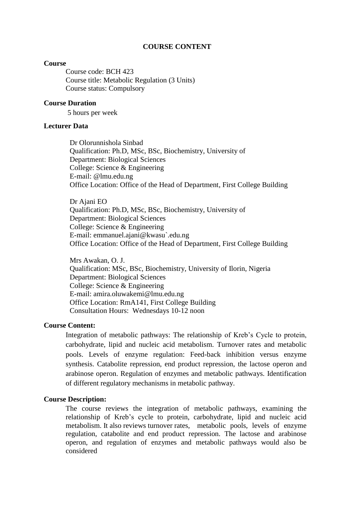#### **COURSE CONTENT**

#### **Course**

Course code: BCH 423 Course title: Metabolic Regulation (3 Units) Course status: Compulsory

#### **Course Duration**

5 hours per week

#### **Lecturer Data**

Dr Olorunnishola Sinbad Qualification: Ph.D, MSc, BSc, Biochemistry, University of Department: Biological Sciences College: Science & Engineering E-mail: @lmu.edu.ng Office Location: Office of the Head of Department, First College Building

Dr Ajani EO Qualification: Ph.D, MSc, BSc, Biochemistry, University of Department: Biological Sciences College: Science & Engineering E-mail: emmanuel.ajani@kwasu`.edu.ng Office Location: Office of the Head of Department, First College Building

Mrs Awakan, O. J. Qualification: MSc, BSc, Biochemistry, University of Ilorin, Nigeria Department: Biological Sciences College: Science & Engineering E-mail: amira.oluwakemi@lmu.edu.ng Office Location: RmA141, First College Building Consultation Hours: Wednesdays 10-12 noon

#### **Course Content:**

Integration of metabolic pathways: The relationship of Kreb's Cycle to protein, carbohydrate, lipid and nucleic acid metabolism. Turnover rates and metabolic pools. Levels of enzyme regulation: Feed-back inhibition versus enzyme synthesis. Catabolite repression, end product repression, the lactose operon and arabinose operon. Regulation of enzymes and metabolic pathways. Identification of different regulatory mechanisms in metabolic pathway.

#### **Course Description:**

The course reviews the integration of metabolic pathways, examining the relationship of Kreb's cycle to protein, carbohydrate, lipid and nucleic acid metabolism. It also reviews turnover rates, metabolic pools, levels of enzyme regulation, catabolite and end product repression. The lactose and arabinose operon, and regulation of enzymes and metabolic pathways would also be considered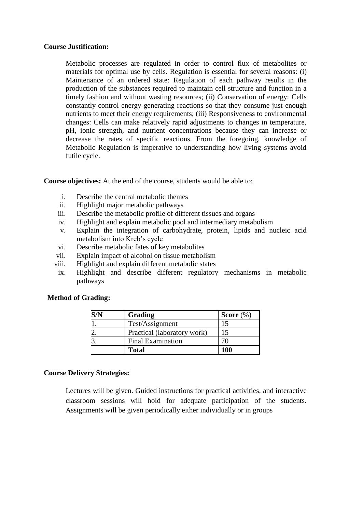#### **Course Justification:**

Metabolic processes are regulated in order to control flux of metabolites or materials for optimal use by cells. Regulation is essential for several reasons: (i) Maintenance of an ordered state: Regulation of each pathway results in the production of the substances required to maintain cell structure and function in a timely fashion and without wasting resources; (ii) Conservation of energy: Cells constantly control energy-generating reactions so that they consume just enough nutrients to meet their energy requirements; (iii) Responsiveness to environmental changes: Cells can make relatively rapid adjustments to changes in temperature, pH, ionic strength, and nutrient concentrations because they can increase or decrease the rates of specific reactions. From the foregoing, knowledge of Metabolic Regulation is imperative to understanding how living systems avoid futile cycle.

**Course objectives:** At the end of the course, students would be able to;

- i. Describe the central metabolic themes
- ii. Highlight major metabolic pathways
- iii. Describe the metabolic profile of different tissues and organs
- iv. Highlight and explain metabolic pool and intermediary metabolism
- v. Explain the integration of carbohydrate, protein, lipids and nucleic acid metabolism into Kreb's cycle
- vi. Describe metabolic fates of key metabolites
- vii. Explain impact of alcohol on tissue metabolism
- viii. Highlight and explain different metabolic states
- ix. Highlight and describe different regulatory mechanisms in metabolic pathways

#### **Method of Grading:**

| Grading                     | Score $(\%)$ |
|-----------------------------|--------------|
| Test/Assignment             |              |
| Practical (laboratory work) |              |
| <b>Final Examination</b>    |              |
| <b>Total</b>                | 100          |

#### **Course Delivery Strategies:**

Lectures will be given. Guided instructions for practical activities, and interactive classroom sessions will hold for adequate participation of the students. Assignments will be given periodically either individually or in groups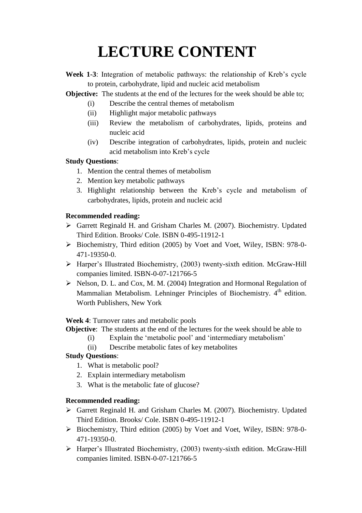# **LECTURE CONTENT**

- **Week 1-3**: Integration of metabolic pathways: the relationship of Kreb's cycle to protein, carbohydrate, lipid and nucleic acid metabolism
- **Objective:** The students at the end of the lectures for the week should be able to;
	- (i) Describe the central themes of metabolism
	- (ii) Highlight major metabolic pathways
	- (iii) Review the metabolism of carbohydrates, lipids, proteins and nucleic acid
	- (iv) Describe integration of carbohydrates, lipids, protein and nucleic acid metabolism into Kreb's cycle

# **Study Questions**:

- 1. Mention the central themes of metabolism
- 2. Mention key metabolic pathways
- 3. Highlight relationship between the Kreb's cycle and metabolism of carbohydrates, lipids, protein and nucleic acid

# **Recommended reading:**

- Garrett Reginald H. and Grisham Charles M. (2007). Biochemistry. Updated Third Edition. Brooks/ Cole. ISBN 0-495-11912-1
- $\triangleright$  Biochemistry, Third edition (2005) by Voet and Voet, Wiley, ISBN: 978-0-471-19350-0.
- Harper's Illustrated Biochemistry, (2003) twenty-sixth edition. McGraw-Hill companies limited. ISBN-0-07-121766-5
- Nelson, D. L. and Cox, M. M. (2004) Integration and Hormonal Regulation of Mammalian Metabolism. Lehninger Principles of Biochemistry. 4<sup>th</sup> edition. Worth Publishers, New York

**Week 4**: Turnover rates and metabolic pools

- **Objective**: The students at the end of the lectures for the week should be able to
	- (i) Explain the 'metabolic pool' and 'intermediary metabolism'
	- (ii) Describe metabolic fates of key metabolites

## **Study Questions**:

- 1. What is metabolic pool?
- 2. Explain intermediary metabolism
- 3. What is the metabolic fate of glucose?

## **Recommended reading:**

- Garrett Reginald H. and Grisham Charles M. (2007). Biochemistry. Updated Third Edition. Brooks/ Cole. ISBN 0-495-11912-1
- $\triangleright$  Biochemistry, Third edition (2005) by Voet and Voet, Wiley, ISBN: 978-0-471-19350-0.
- Harper's Illustrated Biochemistry, (2003) twenty-sixth edition. McGraw-Hill companies limited. ISBN-0-07-121766-5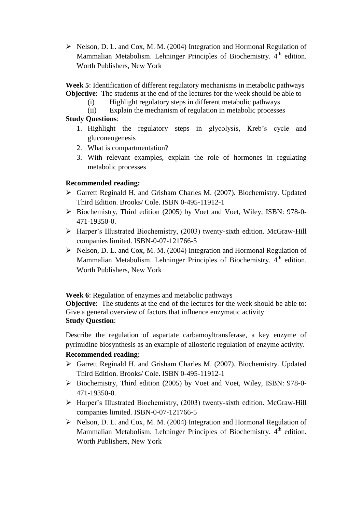$\triangleright$  Nelson, D. L. and Cox, M. M. (2004) Integration and Hormonal Regulation of Mammalian Metabolism. Lehninger Principles of Biochemistry. 4<sup>th</sup> edition. Worth Publishers, New York

**Week 5**: Identification of different regulatory mechanisms in metabolic pathways **Objective**: The students at the end of the lectures for the week should be able to

- (i) Highlight regulatory steps in different metabolic pathways
- (ii) Explain the mechanism of regulation in metabolic processes

## **Study Questions**:

- 1. Highlight the regulatory steps in glycolysis, Kreb's cycle and gluconeogenesis
- 2. What is compartmentation?
- 3. With relevant examples, explain the role of hormones in regulating metabolic processes

## **Recommended reading:**

- Garrett Reginald H. and Grisham Charles M. (2007). Biochemistry. Updated Third Edition. Brooks/ Cole. ISBN 0-495-11912-1
- $\triangleright$  Biochemistry, Third edition (2005) by Voet and Voet, Wiley, ISBN: 978-0-471-19350-0.
- Harper's Illustrated Biochemistry, (2003) twenty-sixth edition. McGraw-Hill companies limited. ISBN-0-07-121766-5
- $\triangleright$  Nelson, D. L. and Cox, M. M. (2004) Integration and Hormonal Regulation of Mammalian Metabolism. Lehninger Principles of Biochemistry. 4<sup>th</sup> edition. Worth Publishers, New York

**Week 6**: Regulation of enzymes and metabolic pathways

**Objective**: The students at the end of the lectures for the week should be able to: Give a general overview of factors that influence enzymatic activity **Study Question**:

Describe the regulation of aspartate carbamoyltransferase, a key enzyme of pyrimidine biosynthesis as an example of allosteric regulation of enzyme activity.

## **Recommended reading:**

- Garrett Reginald H. and Grisham Charles M. (2007). Biochemistry. Updated Third Edition. Brooks/ Cole. ISBN 0-495-11912-1
- Biochemistry, Third edition (2005) by Voet and Voet, Wiley, ISBN: 978-0- 471-19350-0.
- Harper's Illustrated Biochemistry, (2003) twenty-sixth edition. McGraw-Hill companies limited. ISBN-0-07-121766-5
- $\triangleright$  Nelson, D. L. and Cox, M. M. (2004) Integration and Hormonal Regulation of Mammalian Metabolism. Lehninger Principles of Biochemistry. 4<sup>th</sup> edition. Worth Publishers, New York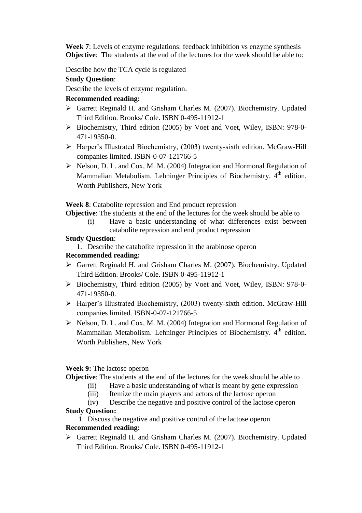**Week 7**: Levels of enzyme regulations: feedback inhibition vs enzyme synthesis **Objective**: The students at the end of the lectures for the week should be able to:

Describe how the TCA cycle is regulated

## **Study Question**:

Describe the levels of enzyme regulation.

### **Recommended reading:**

- Garrett Reginald H. and Grisham Charles M. (2007). Biochemistry. Updated Third Edition. Brooks/ Cole. ISBN 0-495-11912-1
- $\triangleright$  Biochemistry, Third edition (2005) by Voet and Voet, Wiley, ISBN: 978-0-471-19350-0.
- Harper's Illustrated Biochemistry, (2003) twenty-sixth edition. McGraw-Hill companies limited. ISBN-0-07-121766-5
- $\triangleright$  Nelson, D. L. and Cox, M. M. (2004) Integration and Hormonal Regulation of Mammalian Metabolism. Lehninger Principles of Biochemistry. 4<sup>th</sup> edition. Worth Publishers, New York

**Week 8**: Catabolite repression and End product repression

**Objective**: The students at the end of the lectures for the week should be able to

(i) Have a basic understanding of what differences exist between catabolite repression and end product repression

### **Study Question**:

1. Describe the catabolite repression in the arabinose operon

## **Recommended reading:**

- Garrett Reginald H. and Grisham Charles M. (2007). Biochemistry. Updated Third Edition. Brooks/ Cole. ISBN 0-495-11912-1
- Biochemistry, Third edition (2005) by Voet and Voet, Wiley, ISBN: 978-0- 471-19350-0.
- Harper's Illustrated Biochemistry, (2003) twenty-sixth edition. McGraw-Hill companies limited. ISBN-0-07-121766-5
- $\triangleright$  Nelson, D. L. and Cox, M. M. (2004) Integration and Hormonal Regulation of Mammalian Metabolism. Lehninger Principles of Biochemistry. 4<sup>th</sup> edition. Worth Publishers, New York

#### **Week 9:** The lactose operon

**Objective**: The students at the end of the lectures for the week should be able to

- (ii) Have a basic understanding of what is meant by gene expression
- (iii) Itemize the main players and actors of the lactose operon
- (iv) Describe the negative and positive control of the lactose operon

#### **Study Question:**

1. Discuss the negative and positive control of the lactose operon

#### **Recommended reading:**

 Garrett Reginald H. and Grisham Charles M. (2007). Biochemistry. Updated Third Edition. Brooks/ Cole. ISBN 0-495-11912-1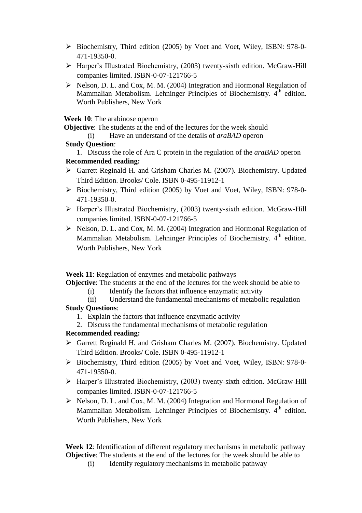- Biochemistry, Third edition (2005) by Voet and Voet, Wiley, ISBN: 978-0- 471-19350-0.
- Harper's Illustrated Biochemistry, (2003) twenty-sixth edition. McGraw-Hill companies limited. ISBN-0-07-121766-5
- $\triangleright$  Nelson, D. L. and Cox, M. M. (2004) Integration and Hormonal Regulation of Mammalian Metabolism. Lehninger Principles of Biochemistry. 4<sup>th</sup> edition. Worth Publishers, New York

**Week 10**: The arabinose operon

 **Objective**: The students at the end of the lectures for the week should

(i) Have an understand of the details of *araBAD* operon

### **Study Question**:

- 1. Discuss the role of Ara C protein in the regulation of the *araBAD* operon **Recommended reading:**
- Garrett Reginald H. and Grisham Charles M. (2007). Biochemistry. Updated Third Edition. Brooks/ Cole. ISBN 0-495-11912-1
- $\triangleright$  Biochemistry, Third edition (2005) by Voet and Voet, Wiley, ISBN: 978-0-471-19350-0.
- Harper's Illustrated Biochemistry, (2003) twenty-sixth edition. McGraw-Hill companies limited. ISBN-0-07-121766-5
- $\triangleright$  Nelson, D. L. and Cox, M. M. (2004) Integration and Hormonal Regulation of Mammalian Metabolism. Lehninger Principles of Biochemistry. 4<sup>th</sup> edition. Worth Publishers, New York

**Week 11**: Regulation of enzymes and metabolic pathways

**Objective**: The students at the end of the lectures for the week should be able to

- (i) Identify the factors that influence enzymatic activity
- (ii) Understand the fundamental mechanisms of metabolic regulation

## **Study Questions**:

- 1. Explain the factors that influence enzymatic activity
- 2. Discuss the fundamental mechanisms of metabolic regulation

# **Recommended reading:**

- Garrett Reginald H. and Grisham Charles M. (2007). Biochemistry. Updated Third Edition. Brooks/ Cole. ISBN 0-495-11912-1
- Biochemistry, Third edition (2005) by Voet and Voet, Wiley, ISBN: 978-0- 471-19350-0.
- $\triangleright$  Harper's Illustrated Biochemistry, (2003) twenty-sixth edition. McGraw-Hill companies limited. ISBN-0-07-121766-5
- $\triangleright$  Nelson, D. L. and Cox, M. M. (2004) Integration and Hormonal Regulation of Mammalian Metabolism. Lehninger Principles of Biochemistry. 4<sup>th</sup> edition. Worth Publishers, New York

 **Week 12**: Identification of different regulatory mechanisms in metabolic pathway **Objective**: The students at the end of the lectures for the week should be able to

(i) Identify regulatory mechanisms in metabolic pathway